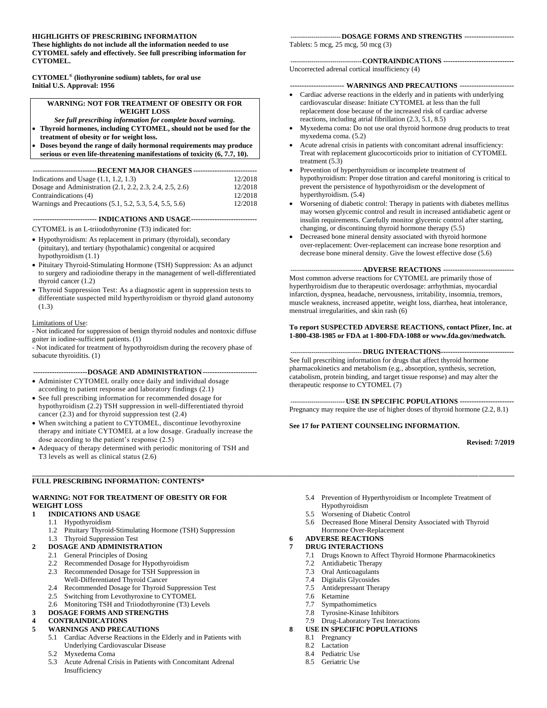### **HIGHLIGHTS OF PRESCRIBING INFORMATION**

**These highlights do not include all the information needed to use CYTOMEL safely and effectively. See full prescribing information for CYTOMEL.**

**CYTOMEL® (liothyronine sodium) tablets, for oral use Initial U.S. Approval: 1956**

#### **WARNING: NOT FOR TREATMENT OF OBESITY OR FOR WEIGHT LOSS**

*See full prescribing information for complete boxed warning.*

• **Thyroid hormones, including CYTOMEL, should not be used for the** 

**treatment of obesity or for weight loss.**

• **Doses beyond the range of daily hormonal requirements may produce serious or even life-threatening manifestations of toxicity (6, 7.7, 10).**

| ----------------------------RECENT MAJOR CHANGES ------------------------------ |         |  |
|---------------------------------------------------------------------------------|---------|--|
| Indications and Usage $(1.1, 1.2, 1.3)$                                         | 12/2018 |  |
| Dosage and Administration (2.1, 2.2, 2.3, 2.4, 2.5, 2.6)                        | 12/2018 |  |
| Contraindications (4)                                                           | 12/2018 |  |
| Warnings and Precautions (5.1, 5.2, 5.3, 5.4, 5.5, 5.6)                         | 12/2018 |  |
|                                                                                 |         |  |

**--------------------------- INDICATIONS AND USAGE----------------------------**

CYTOMEL is an L-triiodothyronine (T3) indicated for:

- Hypothyroidism: As replacement in primary (thyroidal), secondary (pituitary), and tertiary (hypothalamic) congenital or acquired hypothyroidism (1.1)
- Pituitary Thyroid-Stimulating Hormone (TSH) Suppression: As an adjunct to surgery and radioiodine therapy in the management of well-differentiated thyroid cancer (1.2)
- Thyroid Suppression Test: As a diagnostic agent in suppression tests to differentiate suspected mild hyperthyroidism or thyroid gland autonomy (1.3)

### Limitations of Use:

- Not indicated for suppression of benign thyroid nodules and nontoxic diffuse goiter in iodine-sufficient patients. (1)

- Not indicated for treatment of hypothyroidism during the recovery phase of subacute thyroiditis. (1)

#### **-----------------------DOSAGE AND ADMINISTRATION-----------------------**

- Administer CYTOMEL orally once daily and individual dosage according to patient response and laboratory findings (2.1)
- See full prescribing information for recommended dosage for hypothyroidism (2.2) TSH suppression in well-differentiated thyroid cancer (2.3) and for thyroid suppression test (2.4)
- When switching a patient to CYTOMEL, discontinue levothyroxine therapy and initiate CYTOMEL at a low dosage. Gradually increase the dose according to the patient's response (2.5)
- Adequacy of therapy determined with periodic monitoring of TSH and T3 levels as well as clinical status (2.6)

#### **\_\_\_\_\_\_\_\_\_\_\_\_\_\_\_\_\_\_\_\_\_\_\_\_\_\_\_\_\_\_\_\_\_\_\_\_\_\_\_\_\_\_\_\_\_\_\_\_\_\_\_\_\_\_\_\_\_\_\_\_\_\_\_\_\_\_\_\_\_\_\_\_\_\_\_\_\_\_\_\_\_\_\_\_\_\_\_\_\_\_\_\_\_\_\_\_\_\_\_\_\_\_\_\_\_\_\_\_\_\_\_\_\_\_\_\_\_\_\_\_\_\_\_\_\_\_\_\_\_\_\_\_\_\_\_ FULL PRESCRIBING INFORMATION: CONTENTS\***

### **WARNING: NOT FOR TREATMENT OF OBESITY OR FOR WEIGHT LOSS**

### **1 INDICATIONS AND USAGE**

- 1.1 Hypothyroidism
	- 1.2 Pituitary Thyroid-Stimulating Hormone (TSH) Suppression
	- 1.3 Thyroid Suppression Test

### **2 DOSAGE AND ADMINISTRATION**

- 2.1 General Principles of Dosing
- 2.2 Recommended Dosage for Hypothyroidism
- 2.3 Recommended Dosage for TSH Suppression in Well-Differentiated Thyroid Cancer
- 2.4 Recommended Dosage for Thyroid Suppression Test
- 2.5 Switching from Levothyroxine to CYTOMEL
- 2.6 Monitoring TSH and Triiodothyronine (T3) Levels

#### **3 DOSAGE FORMS AND STRENGTHS**

### **4 CONTRAINDICATIONS**

#### **5 WARNINGS AND PRECAUTIONS**

- 5.1 Cardiac Adverse Reactions in the Elderly and in Patients with Underlying Cardiovascular Disease
- 5.2 Myxedema Coma
- 5.3 Acute Adrenal Crisis in Patients with Concomitant Adrenal Insufficiency

#### **------------------------DOSAGE FORMS AND STRENGTHS ---------------------**

Tablets: 5 mcg, 25 mcg, 50 mcg (3)

### **----------------------------------CONTRAINDICATIONS ------------------------------**

Uncorrected adrenal cortical insufficiency (4)

### **----------------------- WARNINGS AND PRECAUTIONS -----------------------**

- Cardiac adverse reactions in the elderly and in patients with underlying cardiovascular disease: Initiate CYTOMEL at less than the full replacement dose because of the increased risk of cardiac adverse reactions, including atrial fibrillation (2.3, 5.1, 8.5)
- Myxedema coma: Do not use oral thyroid hormone drug products to treat myxedema coma. (5.2)
- Acute adrenal crisis in patients with concomitant adrenal insufficiency: Treat with replacement glucocorticoids prior to initiation of CYTOMEL treatment (5.3)
- Prevention of hyperthyroidism or incomplete treatment of hypothyroidism: Proper dose titration and careful monitoring is critical to prevent the persistence of hypothyroidism or the development of hyperthyroidism. (5.4)
- Worsening of diabetic control: Therapy in patients with diabetes mellitus may worsen glycemic control and result in increased antidiabetic agent or insulin requirements. Carefully monitor glycemic control after starting, changing, or discontinuing thyroid hormone therapy (5.5)
- Decreased bone mineral density associated with thyroid hormone over-replacement: Over-replacement can increase bone resorption and decrease bone mineral density. Give the lowest effective dose (5.6)

### **---------------------------------- ADVERSE REACTIONS ------------------------------**

Most common adverse reactions for CYTOMEL are primarily those of hyperthyroidism due to therapeutic overdosage: arrhythmias, myocardial infarction, dyspnea, headache, nervousness, irritability, insomnia, tremors, muscle weakness, increased appetite, weight loss, diarrhea, heat intolerance, menstrual irregularities, and skin rash (6)

#### **To report SUSPECTED ADVERSE REACTIONS, contact Pfizer, Inc. at 1-800-438-1985 or FDA at 1-800-FDA-1088 o[r www.fda.gov/medwatch.](http://www.fda.gov/medwatch)**

**---------------------------------- DRUG INTERACTIONS-------------------------------** See full prescribing information for drugs that affect thyroid hormone pharmacokinetics and metabolism (e.g., absorption, synthesis, secretion, catabolism, protein binding, and target tissue response) and may alter the therapeutic response to CYTOMEL (7)

**--------------------------USE IN SPECIFIC POPULATIONS -----------------------** Pregnancy may require the use of higher doses of thyroid hormone (2.2, 8.1)

#### **See 17 for PATIENT COUNSELING INFORMATION.**

**Revised: 7/2019**

- 5.4 Prevention of Hyperthyroidism or Incomplete Treatment of Hypothyroidism
- 5.5 Worsening of Diabetic Control
- 5.6 Decreased Bone Mineral Density Associated with Thyroid Hormone Over-Replacement

#### **6 ADVERSE REACTIONS 7 DRUG INTERACTIONS**

- 7.1 Drugs Known to Affect Thyroid Hormone Pharmacokinetics
- 7.2 Antidiabetic Therapy
- 7.3 Oral Anticoagulants
- 7.4 Digitalis Glycosides
- 7.5 Antidepressant Therapy
- 
- 7.6 Ketamine<br>7.7 Sympatho Sympathomimetics
- 7.8 Tyrosine-Kinase Inhibitors
- 7.9 Drug-Laboratory Test Interactions
- **8 USE IN SPECIFIC POPULATIONS**
	- 8.1 Pregnancy
	- 8.2 Lactation
	- 8.4 Pediatric Use
	- 8.5 Geriatric Use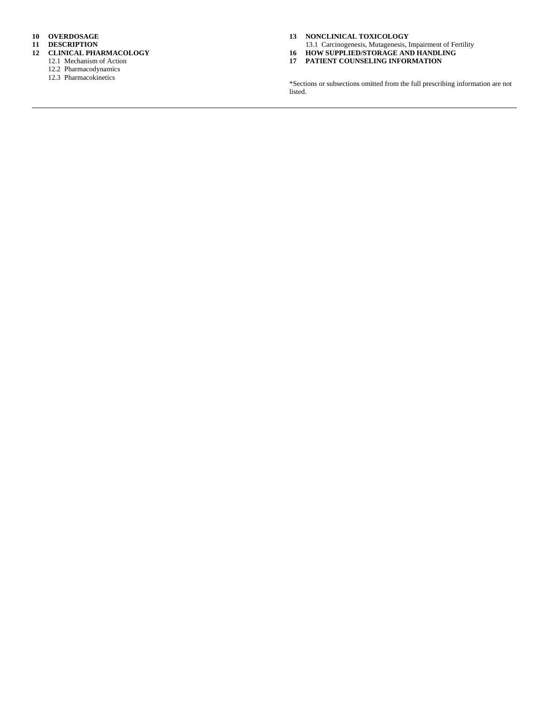**10 OVERDOSAGE**

- **11 DESCRIPTION**
- **12 CLINICAL PHARMACOLOGY**
	- 12.1 Mechanism of Action
	- 12.2 Pharmacodynamics
	- 12.3 Pharmacokinetics

**13 NONCLINICAL TOXICOLOGY**

- 13.1 Carcinogenesis, Mutagenesis, Impairment of Fertility **16 HOW SUPPLIED/STORAGE AND HANDLING**
- **17 PATIENT COUNSELING INFORMATION**
- 

\*Sections or subsections omitted from the full prescribing information are not listed.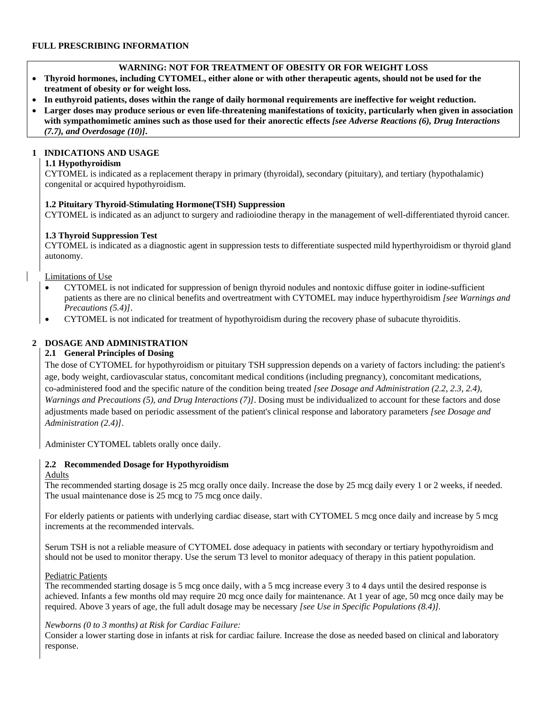# **WARNING: NOT FOR TREATMENT OF OBESITY OR FOR WEIGHT LOSS**

- **Thyroid hormones, including CYTOMEL, either alone or with other therapeutic agents, should not be used for the treatment of obesity or for weight loss.**
- **In euthyroid patients, doses within the range of daily hormonal requirements are ineffective for weight reduction.**
- **Larger doses may produce serious or even life-threatening manifestations of toxicity, particularly when given in association with sympathomimetic amines such as those used for their anorectic effects** *[see Adverse Reactions (6), Drug Interactions (7.7), and Overdosage (10)]***.**

# **1 INDICATIONS AND USAGE**

# **1.1 Hypothyroidism**

CYTOMEL is indicated as a replacement therapy in primary (thyroidal), secondary (pituitary), and tertiary (hypothalamic) congenital or acquired hypothyroidism.

### **1.2 Pituitary Thyroid-Stimulating Hormone(TSH) Suppression**

CYTOMEL is indicated as an adjunct to surgery and radioiodine therapy in the management of well-differentiated thyroid cancer*.*

# **1.3 Thyroid Suppression Test**

CYTOMEL is indicated as a diagnostic agent in suppression tests to differentiate suspected mild hyperthyroidism or thyroid gland autonomy.

### Limitations of Use

- CYTOMEL is not indicated for suppression of benign thyroid nodules and nontoxic diffuse goiter in iodine-sufficient patients as there are no clinical benefits and overtreatment with CYTOMEL may induce hyperthyroidism *[see Warnings and Precautions (5.4)]*.
- CYTOMEL is not indicated for treatment of hypothyroidism during the recovery phase of subacute thyroiditis.

# **2 DOSAGE AND ADMINISTRATION**

# **2.1 General Principles of Dosing**

The dose of CYTOMEL for hypothyroidism or pituitary TSH suppression depends on a variety of factors including: the patient's age, body weight, cardiovascular status, concomitant medical conditions (including pregnancy), concomitant medications, co-administered food and the specific nature of the condition being treated *[see Dosage and Administration (2.2, 2.3, 2.4), Warnings and Precautions (5), and Drug Interactions (7)]*. Dosing must be individualized to account for these factors and dose adjustments made based on periodic assessment of the patient's clinical response and laboratory parameters *[see Dosage and Administration (2.4)]*.

Administer CYTOMEL tablets orally once daily.

# **2.2 Recommended Dosage for Hypothyroidism**

# Adults

The recommended starting dosage is 25 mcg orally once daily. Increase the dose by 25 mcg daily every 1 or 2 weeks, if needed. The usual maintenance dose is 25 mcg to 75 mcg once daily.

For elderly patients or patients with underlying cardiac disease, start with CYTOMEL 5 mcg once daily and increase by 5 mcg increments at the recommended intervals.

Serum TSH is not a reliable measure of CYTOMEL dose adequacy in patients with secondary or tertiary hypothyroidism and should not be used to monitor therapy. Use the serum T3 level to monitor adequacy of therapy in this patient population.

# Pediatric Patients

The recommended starting dosage is 5 mcg once daily, with a 5 mcg increase every 3 to 4 days until the desired response is achieved. Infants a few months old may require 20 mcg once daily for maintenance. At 1 year of age, 50 mcg once daily may be required. Above 3 years of age, the full adult dosage may be necessary *[see Use in Specific Populations (8.4)].*

# *Newborns (0 to 3 months) at Risk for Cardiac Failure:*

Consider a lower starting dose in infants at risk for cardiac failure. Increase the dose as needed based on clinical and laboratory response.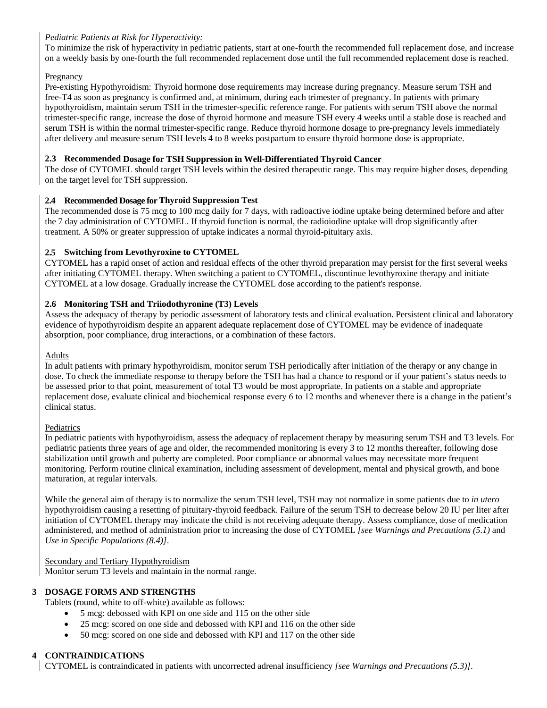# *Pediatric Patients at Risk for Hyperactivity:*

To minimize the risk of hyperactivity in pediatric patients, start at one-fourth the recommended full replacement dose, and increase on a weekly basis by one-fourth the full recommended replacement dose until the full recommended replacement dose is reached.

# Pregnancy

Pre-existing Hypothyroidism: Thyroid hormone dose requirements may increase during pregnancy. Measure serum TSH and free-T4 as soon as pregnancy is confirmed and, at minimum, during each trimester of pregnancy. In patients with primary hypothyroidism, maintain serum TSH in the trimester-specific reference range. For patients with serum TSH above the normal trimester-specific range, increase the dose of thyroid hormone and measure TSH every 4 weeks until a stable dose is reached and serum TSH is within the normal trimester-specific range. Reduce thyroid hormone dosage to pre-pregnancy levels immediately after delivery and measure serum TSH levels 4 to 8 weeks postpartum to ensure thyroid hormone dose is appropriate.

# **2.3 Recommended Dosage for TSH Suppression in Well-Differentiated Thyroid Cancer**

The dose of CYTOMEL should target TSH levels within the desired therapeutic range. This may require higher doses, depending on the target level for TSH suppression.

# **2.4 Recommended Dosage for Thyroid Suppression Test**

The recommended dose is 75 mcg to 100 mcg daily for 7 days, with radioactive iodine uptake being determined before and after the 7 day administration of CYTOMEL. If thyroid function is normal, the radioiodine uptake will drop significantly after treatment. A 50% or greater suppression of uptake indicates a normal thyroid-pituitary axis.

# **2.5 Switching from Levothyroxine to CYTOMEL**

CYTOMEL has a rapid onset of action and residual effects of the other thyroid preparation may persist for the first several weeks after initiating CYTOMEL therapy. When switching a patient to CYTOMEL, discontinue levothyroxine therapy and initiate CYTOMEL at a low dosage. Gradually increase the CYTOMEL dose according to the patient's response.

# **2.6 Monitoring TSH and Triiodothyronine (T3) Levels**

Assess the adequacy of therapy by periodic assessment of laboratory tests and clinical evaluation. Persistent clinical and laboratory evidence of hypothyroidism despite an apparent adequate replacement dose of CYTOMEL may be evidence of inadequate absorption, poor compliance, drug interactions, or a combination of these factors.

# Adults

In adult patients with primary hypothyroidism, monitor serum TSH periodically after initiation of the therapy or any change in dose. To check the immediate response to therapy before the TSH has had a chance to respond or if your patient's status needs to be assessed prior to that point, measurement of total T3 would be most appropriate. In patients on a stable and appropriate replacement dose, evaluate clinical and biochemical response every 6 to 12 months and whenever there is a change in the patient's clinical status.

# Pediatrics

In pediatric patients with hypothyroidism, assess the adequacy of replacement therapy by measuring serum TSH and T3 levels. For pediatric patients three years of age and older, the recommended monitoring is every 3 to 12 months thereafter, following dose stabilization until growth and puberty are completed. Poor compliance or abnormal values may necessitate more frequent monitoring. Perform routine clinical examination, including assessment of development, mental and physical growth, and bone maturation, at regular intervals.

While the general aim of therapy is to normalize the serum TSH level, TSH may not normalize in some patients due to *in utero* hypothyroidism causing a resetting of pituitary-thyroid feedback. Failure of the serum TSH to decrease below 20 IU per liter after initiation of CYTOMEL therapy may indicate the child is not receiving adequate therapy. Assess compliance, dose of medication administered, and method of administration prior to increasing the dose of CYTOMEL *[see Warnings and Precautions (5.1)* and *Use in Specific Populations (8.4)]*.

Secondary and Tertiary Hypothyroidism

Monitor serum T3 levels and maintain in the normal range.

# **3 DOSAGE FORMS AND STRENGTHS**

Tablets (round, white to off-white) available as follows:

- 5 mcg: debossed with KPI on one side and 115 on the other side
- 25 mcg: scored on one side and debossed with KPI and 116 on the other side
- 50 mcg: scored on one side and debossed with KPI and 117 on the other side

# **4 CONTRAINDICATIONS**

CYTOMEL is contraindicated in patients with uncorrected adrenal insufficiency *[see [Warnings and Precautions \(5.3\)\]](http://dailymed.nlm.nih.gov/dailymed/lookup.cfm?setid=f4d851f6-6bf5-4ed5-8d3a-1646773c4d40#S5.4)*.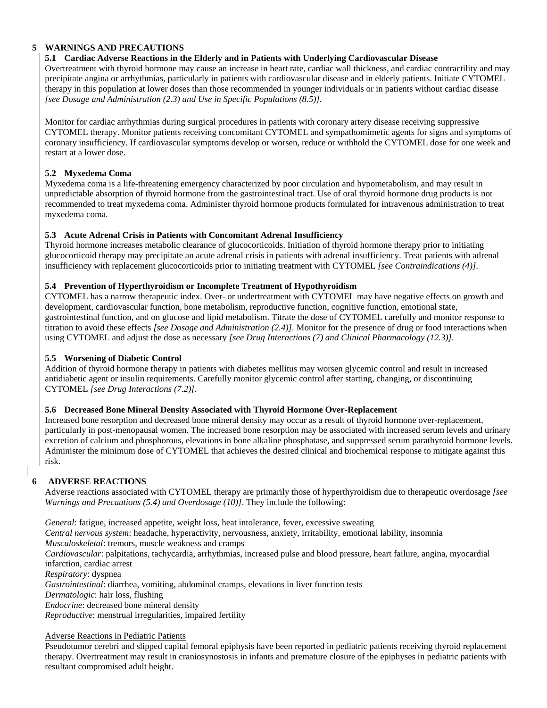# **5 WARNINGS AND PRECAUTIONS**

# **5.1 Cardiac Adverse Reactions in the Elderly and in Patients with Underlying Cardiovascular Disease**

Overtreatment with thyroid hormone may cause an increase in heart rate, cardiac wall thickness, and cardiac contractility and may precipitate angina or arrhythmias, particularly in patients with cardiovascular disease and in elderly patients. Initiate CYTOMEL therapy in this population at lower doses than those recommended in younger individuals or in patients without cardiac disease *[see Dosage and Administration (2.3) and Use in Specific Populations (8.5)].*

Monitor for cardiac arrhythmias during surgical procedures in patients with coronary artery disease receiving suppressive CYTOMEL therapy. Monitor patients receiving concomitant CYTOMEL and sympathomimetic agents for signs and symptoms of coronary insufficiency. If cardiovascular symptoms develop or worsen, reduce or withhold the CYTOMEL dose for one week and restart at a lower dose.

# **5.2 Myxedema Coma**

Myxedema coma is a life-threatening emergency characterized by poor circulation and hypometabolism, and may result in unpredictable absorption of thyroid hormone from the gastrointestinal tract. Use of oral thyroid hormone drug products is not recommended to treat myxedema coma. Administer thyroid hormone products formulated for intravenous administration to treat myxedema coma.

# **5.3 Acute Adrenal Crisis in Patients with Concomitant Adrenal Insufficiency**

Thyroid hormone increases metabolic clearance of glucocorticoids. Initiation of thyroid hormone therapy prior to initiating glucocorticoid therapy may precipitate an acute adrenal crisis in patients with adrenal insufficiency. Treat patients with adrenal insufficiency with replacement glucocorticoids prior to initiating treatment with CYTOMEL *[see Contraindications (4)].*

# **5.4 Prevention of Hyperthyroidism or Incomplete Treatment of Hypothyroidism**

CYTOMEL has a narrow therapeutic index. Over- or undertreatment with CYTOMEL may have negative effects on growth and development, cardiovascular function, bone metabolism, reproductive function, cognitive function, emotional state, gastrointestinal function, and on glucose and lipid metabolism. Titrate the dose of CYTOMEL carefully and monitor response to titration to avoid these effects *[see Dosage and Administration (2.4)].* Monitor for the presence of drug or food interactions when using CYTOMEL and adjust the dose as necessary *[see Drug Interactions (7) and Clinical Pharmacology (12.3)].*

# **5.5 Worsening of Diabetic Control**

Addition of thyroid hormone therapy in patients with diabetes mellitus may worsen glycemic control and result in increased antidiabetic agent or insulin requirements. Carefully monitor glycemic control after starting, changing, or discontinuing CYTOMEL *[see Drug Interactions (7.2)].*

# **5.6 Decreased Bone Mineral Density Associated with Thyroid Hormone Over-Replacement**

Increased bone resorption and decreased bone mineral density may occur as a result of thyroid hormone over-replacement, particularly in post-menopausal women. The increased bone resorption may be associated with increased serum levels and urinary excretion of calcium and phosphorous, elevations in bone alkaline phosphatase, and suppressed serum parathyroid hormone levels. Administer the minimum dose of CYTOMEL that achieves the desired clinical and biochemical response to mitigate against this risk.

# **6 ADVERSE REACTIONS**

Adverse reactions associated with CYTOMEL therapy are primarily those of hyperthyroidism due to therapeutic overdosage *[see Warnings and Precautions (5.4) and [Overdosage \(10\)\]](http://dailymed.nlm.nih.gov/dailymed/lookup.cfm?setid=f4d851f6-6bf5-4ed5-8d3a-1646773c4d40#S10)*. They include the following:

*General*: fatigue, increased appetite, weight loss, heat intolerance, fever, excessive sweating

*Central nervous system*: headache, hyperactivity, nervousness, anxiety, irritability, emotional lability, insomnia

*Musculoskeletal*: tremors, muscle weakness and cramps

*Cardiovascular*: palpitations, tachycardia, arrhythmias, increased pulse and blood pressure, heart failure, angina, myocardial infarction, cardiac arrest

*Respiratory*: dyspnea

*Gastrointestinal*: diarrhea, vomiting, abdominal cramps, elevations in liver function tests

*Dermatologic*: hair loss, flushing

*Endocrine*: decreased bone mineral density

*Reproductive*: menstrual irregularities, impaired fertility

Adverse Reactions in Pediatric Patients

Pseudotumor cerebri and slipped capital femoral epiphysis have been reported in pediatric patients receiving thyroid replacement therapy. Overtreatment may result in craniosynostosis in infants and premature closure of the epiphyses in pediatric patients with resultant compromised adult height.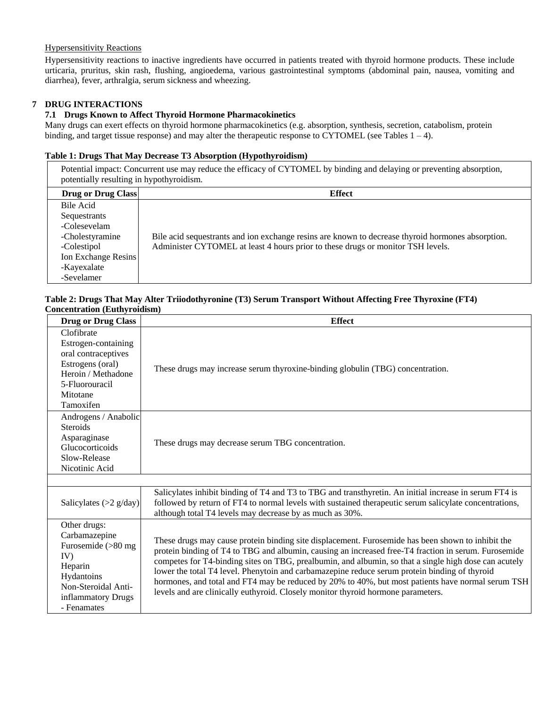# Hypersensitivity Reactions

Hypersensitivity reactions to inactive ingredients have occurred in patients treated with thyroid hormone products. These include urticaria, pruritus, skin rash, flushing, angioedema, various gastrointestinal symptoms (abdominal pain, nausea, vomiting and diarrhea), fever, arthralgia, serum sickness and wheezing.

# **7 DRUG INTERACTIONS**

# **7.1 Drugs Known to Affect Thyroid Hormone Pharmacokinetics**

Many drugs can exert effects on thyroid hormone pharmacokinetics (e.g. absorption, synthesis, secretion, catabolism, protein binding, and target tissue response) and may alter the therapeutic response to CYTOMEL (see Tables  $1 - 4$ ).

### **Table 1: Drugs That May Decrease T3 Absorption (Hypothyroidism)**

Potential impact: Concurrent use may reduce the efficacy of CYTOMEL by binding and delaying or preventing absorption, potentially resulting in hypothyroidism.

| <b>Drug or Drug Class</b>                                                                                                       | <b>Effect</b>                                                                                                                                                                        |
|---------------------------------------------------------------------------------------------------------------------------------|--------------------------------------------------------------------------------------------------------------------------------------------------------------------------------------|
| Bile Acid<br>Sequestrants<br>-Colesevelam<br>-Cholestyramine<br>-Colestipol<br>Ion Exchange Resins<br>-Kayexalate<br>-Sevelamer | Bile acid sequestrants and ion exchange resins are known to decrease thyroid hormones absorption.<br>Administer CYTOMEL at least 4 hours prior to these drugs or monitor TSH levels. |

### **Table 2: Drugs That May Alter Triiodothyronine (T3) Serum Transport Without Affecting Free Thyroxine (FT4) Concentration (Euthyroidism)**

| <b>Drug or Drug Class</b>                                                                                                                                                                                                                                                                                                                                                                                                                                                                                                                                                                                                                                                                                                                                       | <b>Effect</b>                                                                                                                                                                                                                                                                |  |
|-----------------------------------------------------------------------------------------------------------------------------------------------------------------------------------------------------------------------------------------------------------------------------------------------------------------------------------------------------------------------------------------------------------------------------------------------------------------------------------------------------------------------------------------------------------------------------------------------------------------------------------------------------------------------------------------------------------------------------------------------------------------|------------------------------------------------------------------------------------------------------------------------------------------------------------------------------------------------------------------------------------------------------------------------------|--|
| Clofibrate<br>Estrogen-containing<br>oral contraceptives<br>Estrogens (oral)<br>Heroin / Methadone<br>5-Fluorouracil<br>Mitotane<br>Tamoxifen                                                                                                                                                                                                                                                                                                                                                                                                                                                                                                                                                                                                                   | These drugs may increase serum thyroxine-binding globulin (TBG) concentration.                                                                                                                                                                                               |  |
| Androgens / Anabolic<br><b>Steroids</b><br>Asparaginase<br>Glucocorticoids<br>Slow-Release<br>Nicotinic Acid                                                                                                                                                                                                                                                                                                                                                                                                                                                                                                                                                                                                                                                    | These drugs may decrease serum TBG concentration.                                                                                                                                                                                                                            |  |
|                                                                                                                                                                                                                                                                                                                                                                                                                                                                                                                                                                                                                                                                                                                                                                 |                                                                                                                                                                                                                                                                              |  |
| Salicylates $(>2 \text{ g/day})$                                                                                                                                                                                                                                                                                                                                                                                                                                                                                                                                                                                                                                                                                                                                | Salicylates inhibit binding of T4 and T3 to TBG and transthyretin. An initial increase in serum FT4 is<br>followed by return of FT4 to normal levels with sustained therapeutic serum salicylate concentrations,<br>although total T4 levels may decrease by as much as 30%. |  |
| Other drugs:<br>Carbamazepine<br>These drugs may cause protein binding site displacement. Furosemide has been shown to inhibit the<br>Furosemide (>80 mg<br>protein binding of T4 to TBG and albumin, causing an increased free-T4 fraction in serum. Furosemide<br>IV)<br>competes for T4-binding sites on TBG, prealbumin, and albumin, so that a single high dose can acutely<br>Heparin<br>lower the total T4 level. Phenytoin and carbamazepine reduce serum protein binding of thyroid<br>Hydantoins<br>hormones, and total and FT4 may be reduced by 20% to 40%, but most patients have normal serum TSH<br>Non-Steroidal Anti-<br>levels and are clinically euthyroid. Closely monitor thyroid hormone parameters.<br>inflammatory Drugs<br>- Fenamates |                                                                                                                                                                                                                                                                              |  |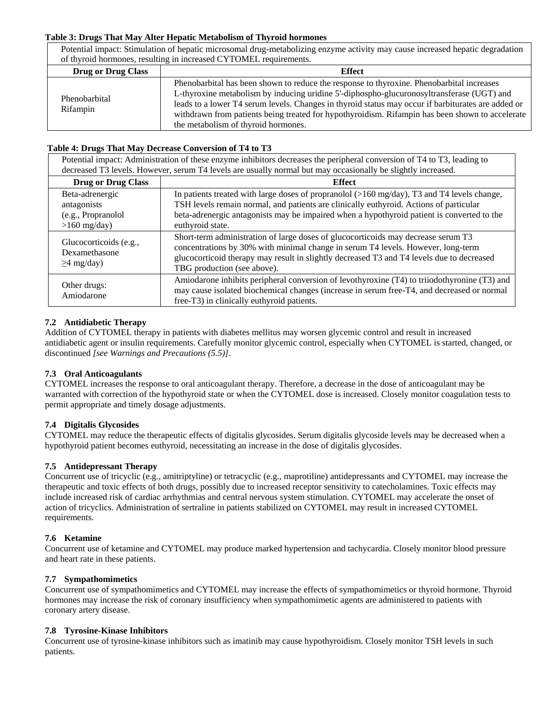# **Table 3: Drugs That May Alter Hepatic Metabolism of Thyroid hormones**

Potential impact: Stimulation of hepatic microsomal drug-metabolizing enzyme activity may cause increased hepatic degradation of thyroid hormones, resulting in increased CYTOMEL requirements.

| <b>Drug or Drug Class</b> | <b>Effect</b>                                                                                                                                                                                                                                                                                                                                                                                                                          |  |
|---------------------------|----------------------------------------------------------------------------------------------------------------------------------------------------------------------------------------------------------------------------------------------------------------------------------------------------------------------------------------------------------------------------------------------------------------------------------------|--|
| Phenobarbital<br>Rifampin | Phenobarbital has been shown to reduce the response to thyroxine. Phenobarbital increases<br>L-thyroxine metabolism by inducing uridine 5'-diphospho-glucuronosyltransferase (UGT) and<br>leads to a lower T4 serum levels. Changes in thyroid status may occur if barbiturates are added or<br>withdrawn from patients being treated for hypothyroidism. Rifampin has been shown to accelerate<br>the metabolism of thyroid hormones. |  |

# **Table 4: Drugs That May Decrease Conversion of T4 to T3**

Potential impact: Administration of these enzyme inhibitors decreases the peripheral conversion of T4 to T3, leading to decreased T3 levels. However, serum T4 levels are usually normal but may occasionally be slightly increased.

| <b>Drug or Drug Class</b>                                              | <b>Effect</b>                                                                                                                                                                                                                                                                                                      |  |
|------------------------------------------------------------------------|--------------------------------------------------------------------------------------------------------------------------------------------------------------------------------------------------------------------------------------------------------------------------------------------------------------------|--|
| Beta-adrenergic<br>antagonists<br>(e.g., Propranolol<br>$>160$ mg/day) | In patients treated with large doses of propranolol $(>160 \text{ mg/day})$ , T3 and T4 levels change,<br>TSH levels remain normal, and patients are clinically euthyroid. Actions of particular<br>beta-adrenergic antagonists may be impaired when a hypothyroid patient is converted to the<br>euthyroid state. |  |
| Glucocorticoids (e.g.,<br>Dexamethasone<br>$\geq$ 4 mg/day)            | Short-term administration of large doses of glucocorticoids may decrease serum T3<br>concentrations by 30% with minimal change in serum T4 levels. However, long-term<br>glucocorticoid therapy may result in slightly decreased T3 and T4 levels due to decreased<br>TBG production (see above).                  |  |
| Other drugs:<br>Amiodarone                                             | Amiodarone inhibits peripheral conversion of levothyroxine (T4) to triiodothyronine (T3) and<br>may cause isolated biochemical changes (increase in serum free-T4, and decreased or normal<br>free-T3) in clinically euthyroid patients.                                                                           |  |

# **7.2 Antidiabetic Therapy**

Addition of CYTOMEL therapy in patients with diabetes mellitus may worsen glycemic control and result in increased antidiabetic agent or insulin requirements. Carefully monitor glycemic control, especially when CYTOMEL is started, changed, or discontinued *[see Warnings and Precautions (5.5)]*.

# **7.3 Oral Anticoagulants**

CYTOMEL increases the response to oral anticoagulant therapy. Therefore, a decrease in the dose of anticoagulant may be warranted with correction of the hypothyroid state or when the CYTOMEL dose is increased. Closely monitor coagulation tests to permit appropriate and timely dosage adjustments.

# **7.4 Digitalis Glycosides**

CYTOMEL may reduce the therapeutic effects of digitalis glycosides. Serum digitalis glycoside levels may be decreased when a hypothyroid patient becomes euthyroid, necessitating an increase in the dose of digitalis glycosides.

# **7.5 Antidepressant Therapy**

Concurrent use of tricyclic (e.g., amitriptyline) or tetracyclic (e.g., maprotiline) antidepressants and CYTOMEL may increase the therapeutic and toxic effects of both drugs, possibly due to increased receptor sensitivity to catecholamines. Toxic effects may include increased risk of cardiac arrhythmias and central nervous system stimulation. CYTOMEL may accelerate the onset of action of tricyclics. Administration of sertraline in patients stabilized on CYTOMEL may result in increased CYTOMEL requirements.

# **7.6 Ketamine**

Concurrent use of ketamine and CYTOMEL may produce marked hypertension and tachycardia. Closely monitor blood pressure and heart rate in these patients.

# **7.7 Sympathomimetics**

Concurrent use of sympathomimetics and CYTOMEL may increase the effects of sympathomimetics or thyroid hormone. Thyroid hormones may increase the risk of coronary insufficiency when sympathomimetic agents are administered to patients with coronary artery disease.

# **7.8 Tyrosine-Kinase Inhibitors**

Concurrent use of tyrosine-kinase inhibitors such as imatinib may cause hypothyroidism. Closely monitor TSH levels in such patients.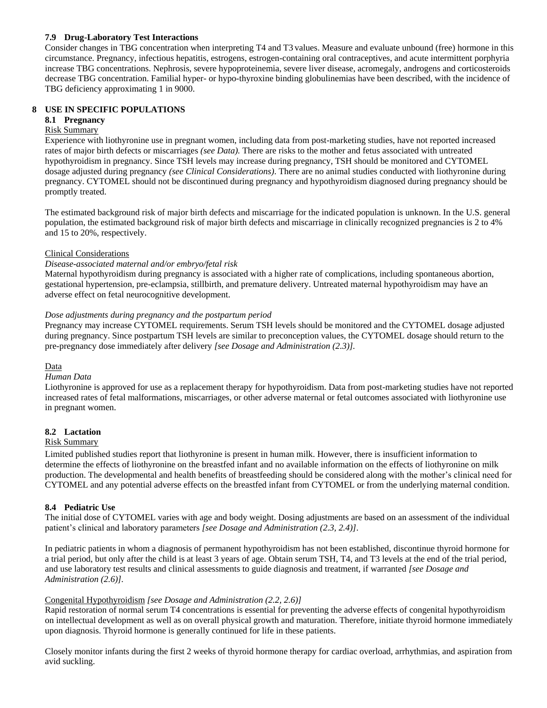# **7.9 Drug-Laboratory Test Interactions**

Consider changes in TBG concentration when interpreting T4 and T3 values. Measure and evaluate unbound (free) hormone in this circumstance. Pregnancy, infectious hepatitis, estrogens, estrogen-containing oral contraceptives, and acute intermittent porphyria increase TBG concentrations. Nephrosis, severe hypoproteinemia, severe liver disease, acromegaly, androgens and corticosteroids decrease TBG concentration. Familial hyper- or hypo-thyroxine binding globulinemias have been described, with the incidence of TBG deficiency approximating 1 in 9000.

# **8 USE IN SPECIFIC POPULATIONS**

# **8.1 Pregnancy**

# Risk Summary

Experience with liothyronine use in pregnant women, including data from post-marketing studies, have not reported increased rates of major birth defects or miscarriages *(see Data).* There are risks to the mother and fetus associated with untreated hypothyroidism in pregnancy. Since TSH levels may increase during pregnancy, TSH should be monitored and CYTOMEL dosage adjusted during pregnancy *(see Clinical Considerations)*. There are no animal studies conducted with liothyronine during pregnancy. CYTOMEL should not be discontinued during pregnancy and hypothyroidism diagnosed during pregnancy should be promptly treated.

The estimated background risk of major birth defects and miscarriage for the indicated population is unknown. In the U.S. general population, the estimated background risk of major birth defects and miscarriage in clinically recognized pregnancies is 2 to 4% and 15 to 20%, respectively.

# Clinical Considerations

# *Disease-associated maternal and/or embryo/fetal risk*

Maternal hypothyroidism during pregnancy is associated with a higher rate of complications, including spontaneous abortion, gestational hypertension, pre-eclampsia, stillbirth, and premature delivery. Untreated maternal hypothyroidism may have an adverse effect on fetal neurocognitive development.

# *Dose adjustments during pregnancy and the postpartum period*

Pregnancy may increase CYTOMEL requirements. Serum TSH levels should be monitored and the CYTOMEL dosage adjusted during pregnancy. Since postpartum TSH levels are similar to preconception values, the CYTOMEL dosage should return to the pre-pregnancy dose immediately after delivery *[see Dosage and Administration (2.3)].*

# Data

# *Human Data*

Liothyronine is approved for use as a replacement therapy for hypothyroidism. Data from post-marketing studies have not reported increased rates of fetal malformations, miscarriages, or other adverse maternal or fetal outcomes associated with liothyronine use in pregnant women.

# **8.2 Lactation**

# Risk Summary

Limited published studies report that liothyronine is present in human milk. However, there is insufficient information to determine the effects of liothyronine on the breastfed infant and no available information on the effects of liothyronine on milk production. The developmental and health benefits of breastfeeding should be considered along with the mother's clinical need for CYTOMEL and any potential adverse effects on the breastfed infant from CYTOMEL or from the underlying maternal condition.

# **8.4 Pediatric Use**

The initial dose of CYTOMEL varies with age and body weight. Dosing adjustments are based on an assessment of the individual patient's clinical and laboratory parameters *[see Dosage and Administration (2.3, 2.4)]*.

In pediatric patients in whom a diagnosis of permanent hypothyroidism has not been established, discontinue thyroid hormone for a trial period, but only after the child is at least 3 years of age. Obtain serum TSH, T4, and T3 levels at the end of the trial period, and use laboratory test results and clinical assessments to guide diagnosis and treatment, if warranted *[see Dosage and Administration (2.6)].*

# Congenital Hypothyroidism *[see Dosage and Administration (2.2, 2.6)]*

Rapid restoration of normal serum T4 concentrations is essential for preventing the adverse effects of congenital hypothyroidism on intellectual development as well as on overall physical growth and maturation. Therefore, initiate thyroid hormone immediately upon diagnosis. Thyroid hormone is generally continued for life in these patients.

Closely monitor infants during the first 2 weeks of thyroid hormone therapy for cardiac overload, arrhythmias, and aspiration from avid suckling.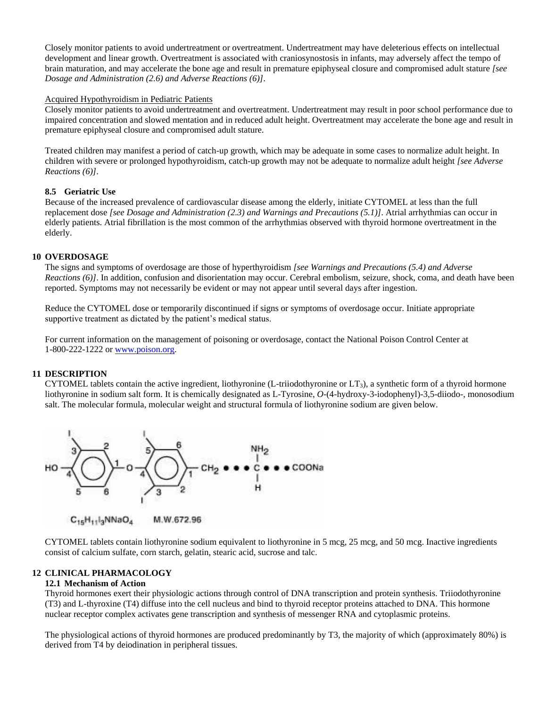Closely monitor patients to avoid undertreatment or overtreatment. Undertreatment may have deleterious effects on intellectual development and linear growth. Overtreatment is associated with craniosynostosis in infants, may adversely affect the tempo of brain maturation, and may accelerate the bone age and result in premature epiphyseal closure and compromised adult stature *[see Dosage and Administration (2.6) and Adverse Reactions (6)]*.

### Acquired Hypothyroidism in Pediatric Patients

Closely monitor patients to avoid undertreatment and overtreatment. Undertreatment may result in poor school performance due to impaired concentration and slowed mentation and in reduced adult height. Overtreatment may accelerate the bone age and result in premature epiphyseal closure and compromised adult stature.

Treated children may manifest a period of catch-up growth, which may be adequate in some cases to normalize adult height. In children with severe or prolonged hypothyroidism, catch-up growth may not be adequate to normalize adult height *[see Adverse Reactions (6)]*.

# **8.5 Geriatric Use**

Because of the increased prevalence of cardiovascular disease among the elderly, initiate CYTOMEL at less than the full replacement dose *[see [Dosage and Administration \(2.3\)](http://dailymed.nlm.nih.gov/dailymed/lookup.cfm?setid=f4d851f6-6bf5-4ed5-8d3a-1646773c4d40#S2.3) and [Warnings and Precautions \(5.1\)\]](http://dailymed.nlm.nih.gov/dailymed/lookup.cfm?setid=f4d851f6-6bf5-4ed5-8d3a-1646773c4d40#S5.2)*. Atrial arrhythmias can occur in elderly patients. Atrial fibrillation is the most common of the arrhythmias observed with thyroid hormone overtreatment in the elderly.

### **10 OVERDOSAGE**

The signs and symptoms of overdosage are those of hyperthyroidism *[see [Warnings and Precautions \(5.4\)](http://dailymed.nlm.nih.gov/dailymed/lookup.cfm?setid=f4d851f6-6bf5-4ed5-8d3a-1646773c4d40#S5.1) an[d Adverse](http://dailymed.nlm.nih.gov/dailymed/lookup.cfm?setid=f4d851f6-6bf5-4ed5-8d3a-1646773c4d40#S6)  [Reactions](http://dailymed.nlm.nih.gov/dailymed/lookup.cfm?setid=f4d851f6-6bf5-4ed5-8d3a-1646773c4d40#S6) (6)]*. In addition, confusion and disorientation may occur. Cerebral embolism, seizure, shock, coma, and death have been reported. Symptoms may not necessarily be evident or may not appear until several days after ingestion.

Reduce the CYTOMEL dose or temporarily discontinued if signs or symptoms of overdosage occur. Initiate appropriate supportive treatment as dictated by the patient's medical status.

For current information on the management of poisoning or overdosage, contact the National Poison Control Center at 1-800-222-1222 o[r www.poison.org.](http://sharepoint.fda.gov/AppData/Local/AppData/Local/Microsoft/Windows/Temporary%20Internet%20Files/Content.Outlook/AppData/Local/Temp/1/AppData/Local/Microsoft/Windows/INetCache/Content.Outlook/L88KCC25/www.poison.org)

### **11 DESCRIPTION**

CYTOMEL tablets contain the active ingredient, liothyronine (L-triiodothyronine or LT3), a synthetic form of a thyroid hormone liothyronine in sodium salt form. It is chemically designated as L-Tyrosine, *O*-(4-hydroxy-3-iodophenyl)-3,5-diiodo-, monosodium salt. The molecular formula, molecular weight and structural formula of liothyronine sodium are given below.



 $C_{15}H_{11}I_3NNaO_4$ M.W.672.96

CYTOMEL tablets contain liothyronine sodium equivalent to liothyronine in 5 mcg, 25 mcg, and 50 mcg. Inactive ingredients consist of calcium sulfate, corn starch, gelatin, stearic acid, sucrose and talc.

# **12 CLINICAL PHARMACOLOGY**

### **12.1 Mechanism of Action**

Thyroid hormones exert their physiologic actions through control of DNA transcription and protein synthesis. Triiodothyronine (T3) and L-thyroxine (T4) diffuse into the cell nucleus and bind to thyroid receptor proteins attached to DNA. This hormone nuclear receptor complex activates gene transcription and synthesis of messenger RNA and cytoplasmic proteins.

The physiological actions of thyroid hormones are produced predominantly by T3, the majority of which (approximately 80%) is derived from T4 by deiodination in peripheral tissues.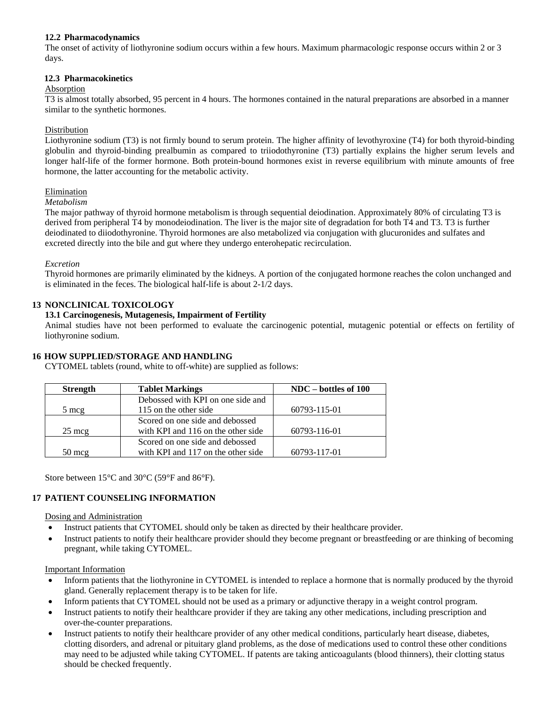# **12.2 Pharmacodynamics**

The onset of activity of liothyronine sodium occurs within a few hours. Maximum pharmacologic response occurs within 2 or 3 days.

# **12.3 Pharmacokinetics**

# Absorption

T3 is almost totally absorbed, 95 percent in 4 hours. The hormones contained in the natural preparations are absorbed in a manner similar to the synthetic hormones.

# Distribution

Liothyronine sodium (T3) is not firmly bound to serum protein. The higher affinity of levothyroxine (T4) for both thyroid-binding globulin and thyroid-binding prealbumin as compared to triiodothyronine (T3) partially explains the higher serum levels and longer half-life of the former hormone. Both protein-bound hormones exist in reverse equilibrium with minute amounts of free hormone, the latter accounting for the metabolic activity.

# Elimination

# *Metabolism*

The major pathway of thyroid hormone metabolism is through sequential deiodination. Approximately 80% of circulating T3 is derived from peripheral T4 by monodeiodination. The liver is the major site of degradation for both T4 and T3. T3 is further deiodinated to diiodothyronine. Thyroid hormones are also metabolized via conjugation with glucuronides and sulfates and excreted directly into the bile and gut where they undergo enterohepatic recirculation.

# *Excretion*

Thyroid hormones are primarily eliminated by the kidneys. A portion of the conjugated hormone reaches the colon unchanged and is eliminated in the feces. The biological half-life is about 2-1/2 days.

# **13 NONCLINICAL TOXICOLOGY**

# **13.1 Carcinogenesis, Mutagenesis, Impairment of Fertility**

Animal studies have not been performed to evaluate the carcinogenic potential, mutagenic potential or effects on fertility of liothyronine sodium.

# **16 HOW SUPPLIED/STORAGE AND HANDLING**

CYTOMEL tablets (round, white to off-white) are supplied as follows:

| <b>Strength</b>  | <b>Tablet Markings</b>             | $NDC - bottles of 100$ |
|------------------|------------------------------------|------------------------|
|                  | Debossed with KPI on one side and  |                        |
| 5 mcg            | 115 on the other side              | 60793-115-01           |
|                  | Scored on one side and debossed    |                        |
| $25 \text{ mcg}$ | with KPI and 116 on the other side | 60793-116-01           |
|                  | Scored on one side and debossed    |                        |
| $50 \text{ m}$   | with KPI and 117 on the other side | 60793-117-01           |

Store between 15°C and 30°C (59°F and 86°F).

# **17 PATIENT COUNSELING INFORMATION**

# Dosing and Administration

- Instruct patients that CYTOMEL should only be taken as directed by their healthcare provider.
- Instruct patients to notify their healthcare provider should they become pregnant or breastfeeding or are thinking of becoming pregnant, while taking CYTOMEL.

# Important Information

- Inform patients that the liothyronine in CYTOMEL is intended to replace a hormone that is normally produced by the thyroid gland. Generally replacement therapy is to be taken for life.
- Inform patients that CYTOMEL should not be used as a primary or adjunctive therapy in a weight control program.
- Instruct patients to notify their healthcare provider if they are taking any other medications, including prescription and over-the-counter preparations.
- Instruct patients to notify their healthcare provider of any other medical conditions, particularly heart disease, diabetes, clotting disorders, and adrenal or pituitary gland problems, as the dose of medications used to control these other conditions may need to be adjusted while taking CYTOMEL. If patents are taking anticoagulants (blood thinners), their clotting status should be checked frequently.